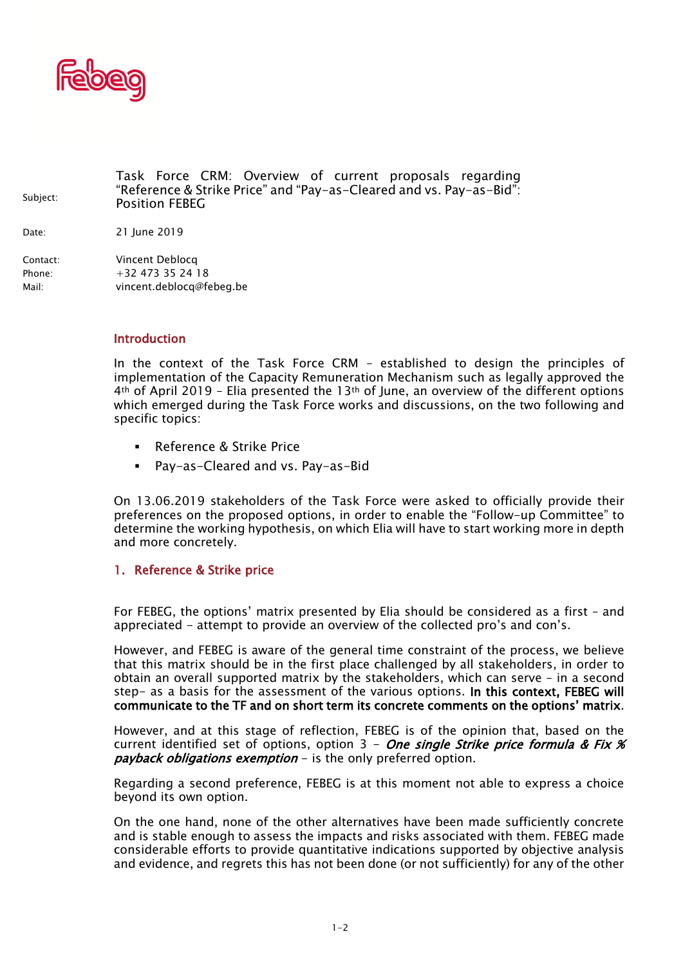

Subject: Task Force CRM: Overview of current proposals regarding "Reference & Strike Price" and "Pay-as-Cleared and vs. Pay-as-Bid": Position FEBEG Date: 21 June 2019 Contact: Vincent Deblocq Phone: +32 473 35 24 18 Mail: vincent.deblocq@febeg.be

## Introduction

In the context of the Task Force CRM – established to design the principles of implementation of the Capacity Remuneration Mechanism such as legally approved the 4th of April 2019 – Elia presented the 13th of June, an overview of the different options which emerged during the Task Force works and discussions, on the two following and specific topics:

- Reference & Strike Price
- Pay-as-Cleared and vs. Pay-as-Bid

On 13.06.2019 stakeholders of the Task Force were asked to officially provide their preferences on the proposed options, in order to enable the "Follow-up Committee" to determine the working hypothesis, on which Elia will have to start working more in depth and more concretely.

## 1. Reference & Strike price

For FEBEG, the options' matrix presented by Elia should be considered as a first – and appreciated - attempt to provide an overview of the collected pro's and con's.

However, and FEBEG is aware of the general time constraint of the process, we believe that this matrix should be in the first place challenged by all stakeholders, in order to obtain an overall supported matrix by the stakeholders, which can serve – in a second step- as a basis for the assessment of the various options. In this context, FEBEG will communicate to the TF and on short term its concrete comments on the options' matrix.

However, and at this stage of reflection, FEBEG is of the opinion that, based on the current identified set of options, option 3 - One single Strike price formula & Fix  $\mathcal X$ *payback obligations exemption –* is the only preferred option.

Regarding a second preference, FEBEG is at this moment not able to express a choice beyond its own option.

On the one hand, none of the other alternatives have been made sufficiently concrete and is stable enough to assess the impacts and risks associated with them. FEBEG made considerable efforts to provide quantitative indications supported by objective analysis and evidence, and regrets this has not been done (or not sufficiently) for any of the other